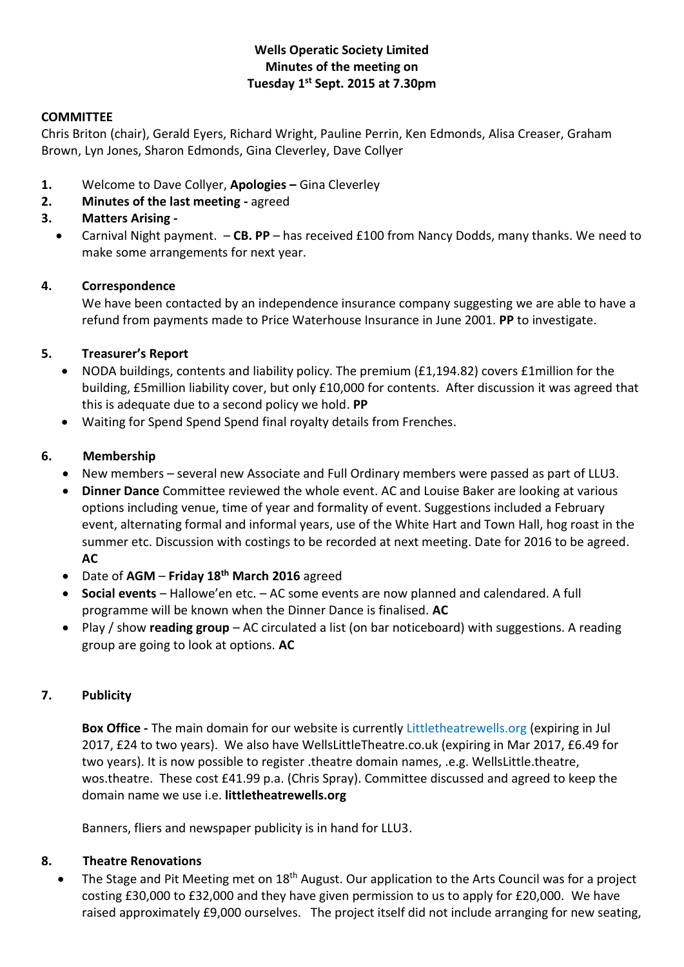# **Wells Operatic Society Limited Minutes of the meeting on Tuesday 1 st Sept. 2015 at 7.30pm**

#### **COMMITTEE**

Chris Briton (chair), Gerald Eyers, Richard Wright, Pauline Perrin, Ken Edmonds, Alisa Creaser, Graham Brown, Lyn Jones, Sharon Edmonds, Gina Cleverley, Dave Collyer

- **1.** Welcome to Dave Collyer, **Apologies –** Gina Cleverley
- **2. Minutes of the last meeting -** agreed

# **3. Matters Arising -**

 Carnival Night payment. – **CB. PP** – has received £100 from Nancy Dodds, many thanks. We need to make some arrangements for next year.

# **4. Correspondence**

We have been contacted by an independence insurance company suggesting we are able to have a refund from payments made to Price Waterhouse Insurance in June 2001. **PP** to investigate.

# **5. Treasurer's Report**

- NODA buildings, contents and liability policy. The premium (£1,194.82) covers £1million for the building, £5million liability cover, but only £10,000 for contents. After discussion it was agreed that this is adequate due to a second policy we hold. **PP**
- Waiting for Spend Spend Spend final royalty details from Frenches.

# **6. Membership**

- New members several new Associate and Full Ordinary members were passed as part of LLU3.
- **Dinner Dance** Committee reviewed the whole event. AC and Louise Baker are looking at various options including venue, time of year and formality of event. Suggestions included a February event, alternating formal and informal years, use of the White Hart and Town Hall, hog roast in the summer etc. Discussion with costings to be recorded at next meeting. Date for 2016 to be agreed. **AC**
- Date of **AGM Friday 18th March 2016** agreed
- **Social events** Hallowe'en etc. AC some events are now planned and calendared. A full programme will be known when the Dinner Dance is finalised. **AC**
- Play / show **reading group** AC circulated a list (on bar noticeboard) with suggestions. A reading group are going to look at options. **AC**

# **7. Publicity**

**Box Office -** The main domain for our website is currently Littletheatrewells.org (expiring in Jul 2017, £24 to two years). We also have WellsLittleTheatre.co.uk (expiring in Mar 2017, £6.49 for two years). It is now possible to register .theatre domain names, .e.g. WellsLittle.theatre, wos.theatre. These cost £41.99 p.a. (Chris Spray). Committee discussed and agreed to keep the domain name we use i.e. **littletheatrewells.org**

Banners, fliers and newspaper publicity is in hand for LLU3.

#### **8. Theatre Renovations**

The Stage and Pit Meeting met on 18<sup>th</sup> August. Our application to the Arts Council was for a project costing £30,000 to £32,000 and they have given permission to us to apply for £20,000. We have raised approximately £9,000 ourselves. The project itself did not include arranging for new seating,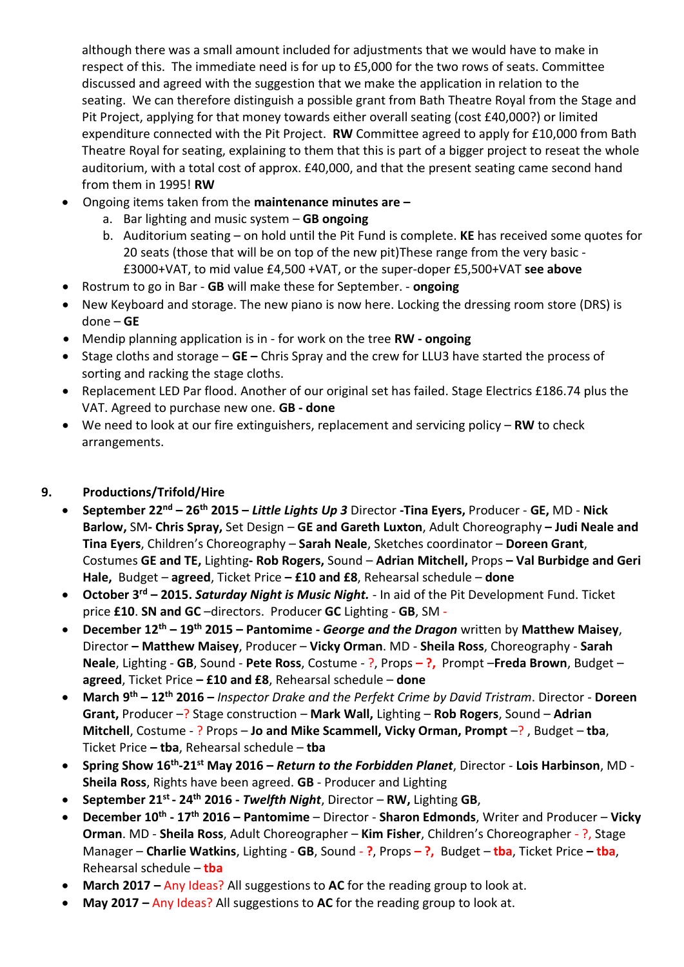although there was a small amount included for adjustments that we would have to make in respect of this. The immediate need is for up to £5,000 for the two rows of seats. Committee discussed and agreed with the suggestion that we make the application in relation to the seating. We can therefore distinguish a possible grant from Bath Theatre Royal from the Stage and Pit Project, applying for that money towards either overall seating (cost £40,000?) or limited expenditure connected with the Pit Project. **RW** Committee agreed to apply for £10,000 from Bath Theatre Royal for seating, explaining to them that this is part of a bigger project to reseat the whole auditorium, with a total cost of approx. £40,000, and that the present seating came second hand from them in 1995! **RW** 

- Ongoing items taken from the **maintenance minutes are –**
	- a. Bar lighting and music system **GB ongoing**
	- b. Auditorium seating on hold until the Pit Fund is complete. **KE** has received some quotes for 20 seats (those that will be on top of the new pit)These range from the very basic - £3000+VAT, to mid value £4,500 +VAT, or the super-doper £5,500+VAT **see above**
- Rostrum to go in Bar **GB** will make these for September. **ongoing**
- New Keyboard and storage. The new piano is now here. Locking the dressing room store (DRS) is done – **GE**
- Mendip planning application is in for work on the tree **RW - ongoing**
- Stage cloths and storage **GE –** Chris Spray and the crew for LLU3 have started the process of sorting and racking the stage cloths.
- Replacement LED Par flood. Another of our original set has failed. Stage Electrics £186.74 plus the VAT. Agreed to purchase new one. **GB - done**
- We need to look at our fire extinguishers, replacement and servicing policy **RW** to check arrangements.

# **9. Productions/Trifold/Hire**

- **September 22nd – 26th 2015 –** *Little Lights Up 3* Director **-Tina Eyers,** Producer **GE,** MD **Nick Barlow,** SM**- Chris Spray,** Set Design – **GE and Gareth Luxton**, Adult Choreography **– Judi Neale and Tina Eyers**, Children's Choreography – **Sarah Neale**, Sketches coordinator – **Doreen Grant**, Costumes **GE and TE,** Lighting**- Rob Rogers,** Sound – **Adrian Mitchell,** Props **– Val Burbidge and Geri Hale,** Budget – **agreed**, Ticket Price **– £10 and £8**, Rehearsal schedule – **done**
- **October 3rd – 2015.** *Saturday Night is Music Night.* In aid of the Pit Development Fund. Ticket price **£10**. **SN and GC** –directors. Producer **GC** Lighting - **GB**, SM -
- **December 12th – 19th 2015 – Pantomime -** *George and the Dragon* written by **Matthew Maisey**, Director **– Matthew Maisey**, Producer – **Vicky Orman**. MD - **Sheila Ross**, Choreography - **Sarah Neale**, Lighting - **GB**, Sound - **Pete Ross**, Costume - ?, Props **– ?,** Prompt –**Freda Brown**, Budget – **agreed**, Ticket Price **– £10 and £8**, Rehearsal schedule – **done**
- **March 9 th – 12th 2016 –** *Inspector Drake and the Perfekt Crime by David Tristram*. Director **Doreen Grant,** Producer –? Stage construction – **Mark Wall,** Lighting – **Rob Rogers**, Sound – **Adrian Mitchell**, Costume - ? Props – **Jo and Mike Scammell, Vicky Orman, Prompt** –? , Budget – **tba**, Ticket Price **– tba**, Rehearsal schedule – **tba**
- **Spring Show 16th -21st May 2016 –** *Return to the Forbidden Planet*, Director **Lois Harbinson**, MD **Sheila Ross**, Rights have been agreed. **GB** - Producer and Lighting
- **September 21st - 24th 2016 -** *Twelfth Night*, Director **RW,** Lighting **GB**,
- **December 10th - 17th 2016 – Pantomime**  Director **Sharon Edmonds**, Writer and Producer **Vicky Orman**. MD - **Sheila Ross**, Adult Choreographer – **Kim Fisher**, Children's Choreographer - ?, Stage Manager – **Charlie Watkins**, Lighting - **GB**, Sound - **?**, Props **– ?,** Budget – **tba**, Ticket Price **– tba**, Rehearsal schedule – **tba**
- **March 2017 –** Any Ideas? All suggestions to **AC** for the reading group to look at.
- **May 2017 –** Any Ideas? All suggestions to **AC** for the reading group to look at.